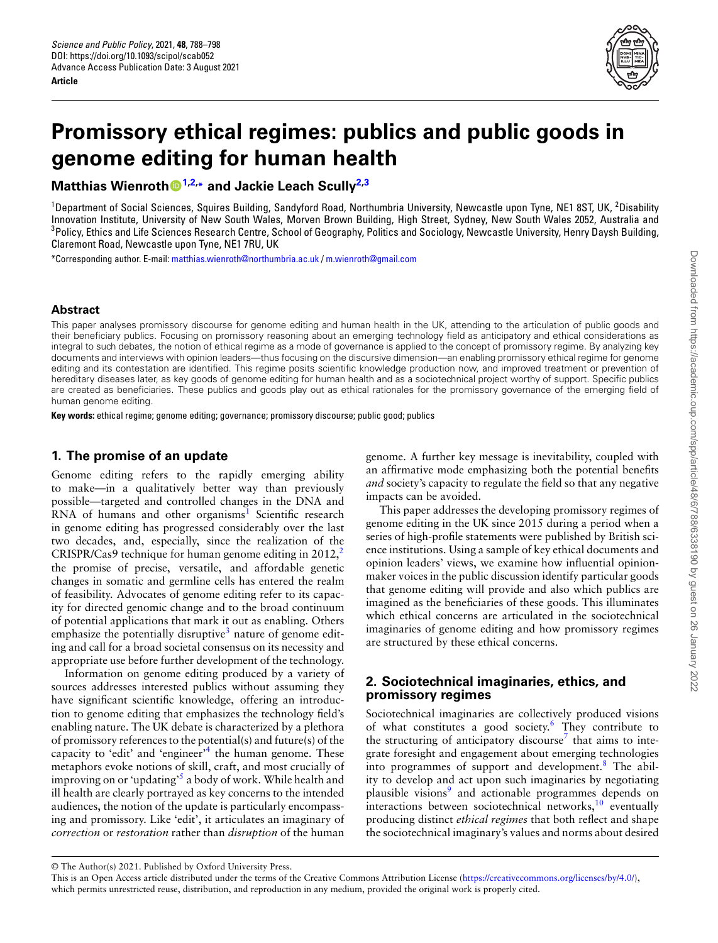<span id="page-0-1"></span>

# **Promissory ethical regimes: publics and public goods in genome editing for human health**

**Matthias Wienroth[1,](#page-0-0)[2](#page-0-1),\* and Jackie Leach Scully[2,](#page-0-1)[3](#page-0-2)**

<span id="page-0-0"></span> $1$ Department of Social Sciences, Squires Building, Sandyford Road, Northumbria University, Newcastle upon Tyne, NE1 8ST, UK,  $2$ Disability Innovation Institute, University of New South Wales, Morven Brown Building, High Street, Sydney, New South Wales 2052, Australia and  $^3$ Policy, Ethics and Life Sciences Research Centre, School of Geography, Politics and Sociology, Newcastle University, Henry Daysh Building, Claremont Road, Newcastle upon Tyne, NE1 7RU, UK

<span id="page-0-2"></span>\*Corresponding author. E-mail: [matthias.wienroth@northumbria.ac.uk](mailto:matthias.wienroth@northumbria.ac.uk) / [m.wienroth@gmail.com](mailto:m.wienroth@gmail.com)

#### **Abstract**

This paper analyses promissory discourse for genome editing and human health in the UK, attending to the articulation of public goods and their beneficiary publics. Focusing on promissory reasoning about an emerging technology field as anticipatory and ethical considerations as integral to such debates, the notion of ethical regime as a mode of governance is applied to the concept of promissory regime. By analyzing key documents and interviews with opinion leaders—thus focusing on the discursive dimension—an enabling promissory ethical regime for genome editing and its contestation are identified. This regime posits scientific knowledge production now, and improved treatment or prevention of hereditary diseases later, as key goods of genome editing for human health and as a sociotechnical project worthy of support. Specific publics are created as beneficiaries. These publics and goods play out as ethical rationales for the promissory governance of the emerging field of human genome editing.

**Key words:** ethical regime; genome editing; governance; promissory discourse; public good; publics

#### **1. The promise of an update**

Genome editing refers to the rapidly emerging ability to make—in a qualitatively better way than previously possible—targeted and controlled changes in the DNA and RNA of humans and other organisms<sup>1</sup> Scientific research in genome editing has progressed considerably over the last two decades, and, especially, since the realization of the CRISPR/Cas9 technique for human genome editing in  $2012$ ,<sup>2</sup> the promise of precise, versatile, and affordable genetic changes in somatic and germline cells has entered the realm of feasibility. Advocates of genome editing refer to its capacity for directed genomic change and to the broad continuum of potential applications that mark it out as enabling. Others emphasize the potentially disruptive<sup>3</sup> nature of genome editing and call for a broad societal consensus on its necessity and appropriate use before further development of the technology.

Information on genome editing produced by a variety of sources addresses interested publics without assuming they have significant scientific knowledge, offering an introduction to genome editing that emphasizes the technology field's enabling nature. The UK debate is characterized by a plethora of promissory references to the potential(s) and future(s) of the capacity to 'edit' and 'engineer'<sup>4</sup> the human genome. These metaphors evoke notions of skill, craft, and most crucially of improving on or 'updating'<sup>5</sup> a body of work. While health and ill health are clearly portrayed as key concerns to the intended audiences, the notion of the update is particularly encompassing and promissory. Like 'edit', it articulates an imaginary of *correction* or *restoration* rather than *disruption* of the human

genome. A further key message is inevitability, coupled with an affirmative mode emphasizing both the potential benefits *and* society's capacity to regulate the field so that any negative impacts can be avoided.

This paper addresses the developing promissory regimes of genome editing in the UK since 2015 during a period when a series of high-profile statements were published by British science institutions. Using a sample of key ethical documents and opinion leaders' views, we examine how influential opinionmaker voices in the public discussion identify particular goods that genome editing will provide and also which publics are imagined as the beneficiaries of these goods. This illuminates which ethical concerns are articulated in the sociotechnical imaginaries of genome editing and how promissory regimes are structured by these ethical concerns.

#### **2. Sociotechnical imaginaries, ethics, and promissory regimes**

Sociotechnical imaginaries are collectively produced visions of what constitutes a good society.<sup>6</sup> They contribute to the structuring of anticipatory discourse<sup>7</sup> that aims to integrate foresight and engagement about emerging technologies into programmes of support and development. $\delta$  The ability to develop and act upon such imaginaries by negotiating plausible visions<sup>9</sup> and actionable programmes depends on interactions between sociotechnical networks, $10$  eventually producing distinct *ethical regimes* that both reflect and shape the sociotechnical imaginary's values and norms about desired

<sup>©</sup> The Author(s) 2021. Published by Oxford University Press.

This is an Open Access article distributed under the terms of the Creative Commons Attribution License(<https://creativecommons.org/licenses/by/4.0/>), which permits unrestricted reuse, distribution, and reproduction in any medium, provided the original work is properly cited.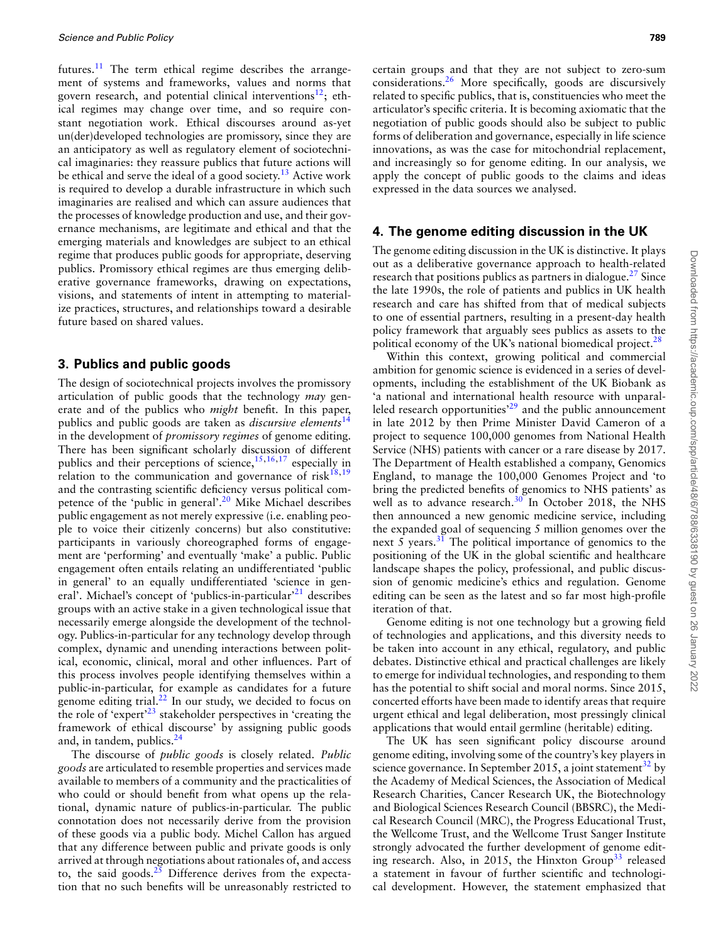futures.<sup>11</sup> The term ethical regime describes the arrangement of systems and frameworks, values and norms that govern research, and potential clinical interventions $^{12}$ ; ethical regimes may change over time, and so require constant negotiation work. Ethical discourses around as-yet un(der)developed technologies are promissory, since they are an anticipatory as well as regulatory element of sociotechnical imaginaries: they reassure publics that future actions will be ethical and serve the ideal of a good society.<sup>13</sup> Active work is required to develop a durable infrastructure in which such imaginaries are realised and which can assure audiences that the processes of knowledge production and use, and their governance mechanisms, are legitimate and ethical and that the emerging materials and knowledges are subject to an ethical regime that produces public goods for appropriate, deserving publics. Promissory ethical regimes are thus emerging deliberative governance frameworks, drawing on expectations, visions, and statements of intent in attempting to materialize practices, structures, and relationships toward a desirable future based on shared values.

#### **3. Publics and public goods**

The design of sociotechnical projects involves the promissory articulation of public goods that the technology *may* generate and of the publics who *might* benefit. In this paper, publics and public goods are taken as *discursive elements*14 in the development of *promissory regimes* of genome editing. There has been significant scholarly discussion of different publics and their perceptions of science,  $15,16,17$  especially in relation to the communication and governance of risk $18,19$ and the contrasting scientific deficiency versus political competence of the 'public in general'.<sup>20</sup> Mike Michael describes public engagement as not merely expressive (i.e. enabling people to voice their citizenly concerns) but also constitutive: participants in variously choreographed forms of engagement are 'performing' and eventually 'make' a public. Public engagement often entails relating an undifferentiated 'public in general' to an equally undifferentiated 'science in general'. Michael's concept of 'publics-in-particular'<sup>21</sup> describes groups with an active stake in a given technological issue that necessarily emerge alongside the development of the technology. Publics-in-particular for any technology develop through complex, dynamic and unending interactions between political, economic, clinical, moral and other influences. Part of this process involves people identifying themselves within a public-in-particular, for example as candidates for a future genome editing trial. $^{22}$  In our study, we decided to focus on the role of 'expert'<sup>23</sup> stakeholder perspectives in 'creating the framework of ethical discourse' by assigning public goods and, in tandem, publics. $24$ 

The discourse of *public goods* is closely related. *Public goods* are articulated to resemble properties and services made available to members of a community and the practicalities of who could or should benefit from what opens up the relational, dynamic nature of publics-in-particular. The public connotation does not necessarily derive from the provision of these goods via a public body. Michel Callon has argued that any difference between public and private goods is only arrived at through negotiations about rationales of, and access to, the said goods. $25$  Difference derives from the expectation that no such benefits will be unreasonably restricted to

certain groups and that they are not subject to zero-sum considerations.26 More specifically, goods are discursively related to specific publics, that is, constituencies who meet the articulator's specific criteria. It is becoming axiomatic that the negotiation of public goods should also be subject to public forms of deliberation and governance, especially in life science innovations, as was the case for mitochondrial replacement, and increasingly so for genome editing. In our analysis, we apply the concept of public goods to the claims and ideas expressed in the data sources we analysed.

#### **4. The genome editing discussion in the UK**

The genome editing discussion in the UK is distinctive. It plays out as a deliberative governance approach to health-related research that positions publics as partners in dialogue.<sup>27</sup> Since the late 1990s, the role of patients and publics in UK health research and care has shifted from that of medical subjects to one of essential partners, resulting in a present-day health policy framework that arguably sees publics as assets to the political economy of the UK's national biomedical project. $^{28}$ 

Within this context, growing political and commercial ambition for genomic science is evidenced in a series of developments, including the establishment of the UK Biobank as 'a national and international health resource with unparalleled research opportunities<sup>29</sup> and the public announcement in late 2012 by then Prime Minister David Cameron of a project to sequence 100,000 genomes from National Health Service (NHS) patients with cancer or a rare disease by 2017. The Department of Health established a company, Genomics England, to manage the 100,000 Genomes Project and 'to bring the predicted benefits of genomics to NHS patients' as well as to advance research.<sup>30</sup> In October 2018, the NHS then announced a new genomic medicine service, including the expanded goal of sequencing 5 million genomes over the next 5 years. $31$  The political importance of genomics to the positioning of the UK in the global scientific and healthcare landscape shapes the policy, professional, and public discussion of genomic medicine's ethics and regulation. Genome editing can be seen as the latest and so far most high-profile iteration of that.

Genome editing is not one technology but a growing field of technologies and applications, and this diversity needs to be taken into account in any ethical, regulatory, and public debates. Distinctive ethical and practical challenges are likely to emerge for individual technologies, and responding to them has the potential to shift social and moral norms. Since 2015, concerted efforts have been made to identify areas that require urgent ethical and legal deliberation, most pressingly clinical applications that would entail germline (heritable) editing.

The UK has seen significant policy discourse around genome editing, involving some of the country's key players in science governance. In September 2015, a joint statement<sup>32</sup> by the Academy of Medical Sciences, the Association of Medical Research Charities, Cancer Research UK, the Biotechnology and Biological Sciences Research Council (BBSRC), the Medical Research Council (MRC), the Progress Educational Trust, the Wellcome Trust, and the Wellcome Trust Sanger Institute strongly advocated the further development of genome editing research. Also, in 2015, the Hinxton Group<sup>33</sup> released a statement in favour of further scientific and technological development. However, the statement emphasized that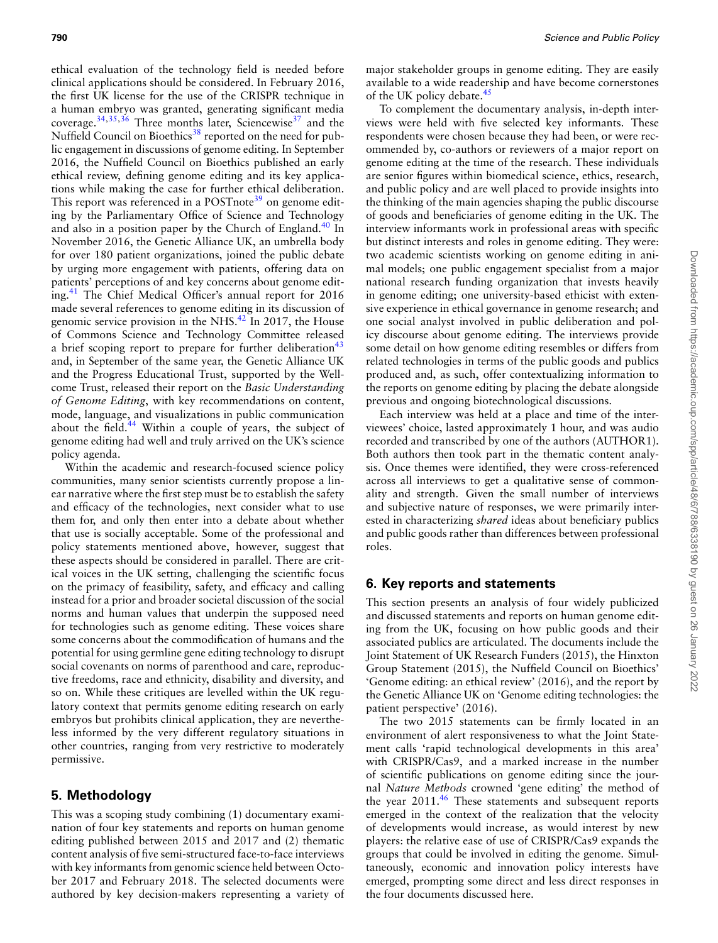ethical evaluation of the technology field is needed before clinical applications should be considered. In February 2016, the first UK license for the use of the CRISPR technique in a human embryo was granted, generating significant media coverage. $34,35,36$  Three months later, Sciencewise<sup>37</sup> and the Nuffield Council on Bioethics<sup>38</sup> reported on the need for public engagement in discussions of genome editing. In September 2016, the Nuffield Council on Bioethics published an early ethical review, defining genome editing and its key applications while making the case for further ethical deliberation. This report was referenced in a POSTnote<sup>39</sup> on genome editing by the Parliamentary Office of Science and Technology and also in a position paper by the Church of England.<sup>40</sup> In November 2016, the Genetic Alliance UK, an umbrella body for over 180 patient organizations, joined the public debate by urging more engagement with patients, offering data on patients' perceptions of and key concerns about genome editing.41 The Chief Medical Officer's annual report for 2016 made several references to genome editing in its discussion of genomic service provision in the NHS. $42$  In 2017, the House of Commons Science and Technology Committee released a brief scoping report to prepare for further deliberation<sup>43</sup> and, in September of the same year, the Genetic Alliance UK and the Progress Educational Trust, supported by the Wellcome Trust, released their report on the *Basic Understanding of Genome Editing*, with key recommendations on content, mode, language, and visualizations in public communication about the field.<sup>44</sup> Within a couple of years, the subject of genome editing had well and truly arrived on the UK's science policy agenda.

Within the academic and research-focused science policy communities, many senior scientists currently propose a linear narrative where the first step must be to establish the safety and efficacy of the technologies, next consider what to use them for, and only then enter into a debate about whether that use is socially acceptable. Some of the professional and policy statements mentioned above, however, suggest that these aspects should be considered in parallel. There are critical voices in the UK setting, challenging the scientific focus on the primacy of feasibility, safety, and efficacy and calling instead for a prior and broader societal discussion of the social norms and human values that underpin the supposed need for technologies such as genome editing. These voices share some concerns about the commodification of humans and the potential for using germline gene editing technology to disrupt social covenants on norms of parenthood and care, reproductive freedoms, race and ethnicity, disability and diversity, and so on. While these critiques are levelled within the UK regulatory context that permits genome editing research on early embryos but prohibits clinical application, they are nevertheless informed by the very different regulatory situations in other countries, ranging from very restrictive to moderately permissive.

#### **5. Methodology**

This was a scoping study combining (1) documentary examination of four key statements and reports on human genome editing published between 2015 and 2017 and (2) thematic content analysis of five semi-structured face-to-face interviews with key informants from genomic science held between October 2017 and February 2018. The selected documents were authored by key decision-makers representing a variety of

major stakeholder groups in genome editing. They are easily available to a wide readership and have become cornerstones of the UK policy debate.<sup>45</sup>

To complement the documentary analysis, in-depth interviews were held with five selected key informants. These respondents were chosen because they had been, or were recommended by, co-authors or reviewers of a major report on genome editing at the time of the research. These individuals are senior figures within biomedical science, ethics, research, and public policy and are well placed to provide insights into the thinking of the main agencies shaping the public discourse of goods and beneficiaries of genome editing in the UK. The interview informants work in professional areas with specific but distinct interests and roles in genome editing. They were: two academic scientists working on genome editing in animal models; one public engagement specialist from a major national research funding organization that invests heavily in genome editing; one university-based ethicist with extensive experience in ethical governance in genome research; and one social analyst involved in public deliberation and policy discourse about genome editing. The interviews provide some detail on how genome editing resembles or differs from related technologies in terms of the public goods and publics produced and, as such, offer contextualizing information to the reports on genome editing by placing the debate alongside previous and ongoing biotechnological discussions.

Each interview was held at a place and time of the interviewees' choice, lasted approximately 1 hour, and was audio recorded and transcribed by one of the authors (AUTHOR1). Both authors then took part in the thematic content analysis. Once themes were identified, they were cross-referenced across all interviews to get a qualitative sense of commonality and strength. Given the small number of interviews and subjective nature of responses, we were primarily interested in characterizing *shared* ideas about beneficiary publics and public goods rather than differences between professional roles.

# **6. Key reports and statements**

This section presents an analysis of four widely publicized and discussed statements and reports on human genome editing from the UK, focusing on how public goods and their associated publics are articulated. The documents include the Joint Statement of UK Research Funders (2015), the Hinxton Group Statement (2015), the Nuffield Council on Bioethics' 'Genome editing: an ethical review' (2016), and the report by the Genetic Alliance UK on 'Genome editing technologies: the patient perspective' (2016).

The two 2015 statements can be firmly located in an environment of alert responsiveness to what the Joint Statement calls 'rapid technological developments in this area' with CRISPR/Cas9, and a marked increase in the number of scientific publications on genome editing since the journal *Nature Methods* crowned 'gene editing' the method of the year  $2011<sup>46</sup>$  These statements and subsequent reports emerged in the context of the realization that the velocity of developments would increase, as would interest by new players: the relative ease of use of CRISPR/Cas9 expands the groups that could be involved in editing the genome. Simultaneously, economic and innovation policy interests have emerged, prompting some direct and less direct responses in the four documents discussed here.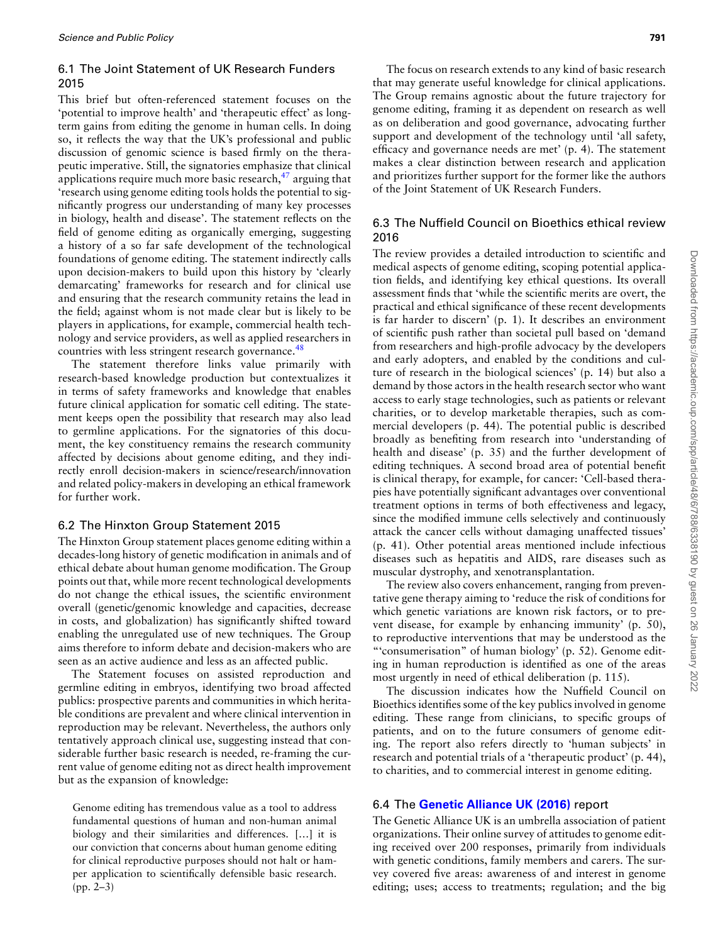#### 6.1 The Joint Statement of UK Research Funders 2015

This brief but often-referenced statement focuses on the 'potential to improve health' and 'therapeutic effect' as longterm gains from editing the genome in human cells. In doing so, it reflects the way that the UK's professional and public discussion of genomic science is based firmly on the therapeutic imperative. Still, the signatories emphasize that clinical applications require much more basic research,  $47$  arguing that 'research using genome editing tools holds the potential to significantly progress our understanding of many key processes in biology, health and disease'. The statement reflects on the field of genome editing as organically emerging, suggesting a history of a so far safe development of the technological foundations of genome editing. The statement indirectly calls upon decision-makers to build upon this history by 'clearly demarcating' frameworks for research and for clinical use and ensuring that the research community retains the lead in the field; against whom is not made clear but is likely to be players in applications, for example, commercial health technology and service providers, as well as applied researchers in countries with less stringent research governance.<sup>48</sup>

The statement therefore links value primarily with research-based knowledge production but contextualizes it in terms of safety frameworks and knowledge that enables future clinical application for somatic cell editing. The statement keeps open the possibility that research may also lead to germline applications. For the signatories of this document, the key constituency remains the research community affected by decisions about genome editing, and they indirectly enroll decision-makers in science/research/innovation and related policy-makers in developing an ethical framework for further work.

#### 6.2 The Hinxton Group Statement 2015

The Hinxton Group statement places genome editing within a decades-long history of genetic modification in animals and of ethical debate about human genome modification. The Group points out that, while more recent technological developments do not change the ethical issues, the scientific environment overall (genetic/genomic knowledge and capacities, decrease in costs, and globalization) has significantly shifted toward enabling the unregulated use of new techniques. The Group aims therefore to inform debate and decision-makers who are seen as an active audience and less as an affected public.

The Statement focuses on assisted reproduction and germline editing in embryos, identifying two broad affected publics: prospective parents and communities in which heritable conditions are prevalent and where clinical intervention in reproduction may be relevant. Nevertheless, the authors only tentatively approach clinical use, suggesting instead that considerable further basic research is needed, re-framing the current value of genome editing not as direct health improvement but as the expansion of knowledge:

Genome editing has tremendous value as a tool to address fundamental questions of human and non-human animal biology and their similarities and differences. […] it is our conviction that concerns about human genome editing for clinical reproductive purposes should not halt or hamper application to scientifically defensible basic research. (pp. 2–3)

that may generate useful knowledge for clinical applications. The Group remains agnostic about the future trajectory for genome editing, framing it as dependent on research as well as on deliberation and good governance, advocating further support and development of the technology until 'all safety, efficacy and governance needs are met' (p. 4). The statement makes a clear distinction between research and application and prioritizes further support for the former like the authors of the Joint Statement of UK Research Funders.

#### 6.3 The Nuffield Council on Bioethics ethical review 2016

The review provides a detailed introduction to scientific and medical aspects of genome editing, scoping potential application fields, and identifying key ethical questions. Its overall assessment finds that 'while the scientific merits are overt, the practical and ethical significance of these recent developments is far harder to discern' (p. 1). It describes an environment of scientific push rather than societal pull based on 'demand from researchers and high-profile advocacy by the developers and early adopters, and enabled by the conditions and culture of research in the biological sciences' (p. 14) but also a demand by those actors in the health research sector who want access to early stage technologies, such as patients or relevant charities, or to develop marketable therapies, such as commercial developers (p. 44). The potential public is described broadly as benefiting from research into 'understanding of health and disease' (p. 35) and the further development of editing techniques. A second broad area of potential benefit is clinical therapy, for example, for cancer: 'Cell-based therapies have potentially significant advantages over conventional treatment options in terms of both effectiveness and legacy, since the modified immune cells selectively and continuously attack the cancer cells without damaging unaffected tissues' (p. 41). Other potential areas mentioned include infectious diseases such as hepatitis and AIDS, rare diseases such as muscular dystrophy, and xenotransplantation.

The review also covers enhancement, ranging from preventative gene therapy aiming to 'reduce the risk of conditions for which genetic variations are known risk factors, or to prevent disease, for example by enhancing immunity' (p. 50), to reproductive interventions that may be understood as the "'consumerisation" of human biology' (p. 52). Genome editing in human reproduction is identified as one of the areas most urgently in need of ethical deliberation (p. 115).

The discussion indicates how the Nuffield Council on Bioethics identifies some of the key publics involved in genome editing. These range from clinicians, to specific groups of patients, and on to the future consumers of genome editing. The report also refers directly to 'human subjects' in research and potential trials of a 'therapeutic product' (p. 44), to charities, and to commercial interest in genome editing.

#### 6.4 The **[Genetic Alliance UK \(2016\)](#page-9-0)** report

The Genetic Alliance UK is an umbrella association of patient organizations. Their online survey of attitudes to genome editing received over 200 responses, primarily from individuals with genetic conditions, family members and carers. The survey covered five areas: awareness of and interest in genome editing; uses; access to treatments; regulation; and the big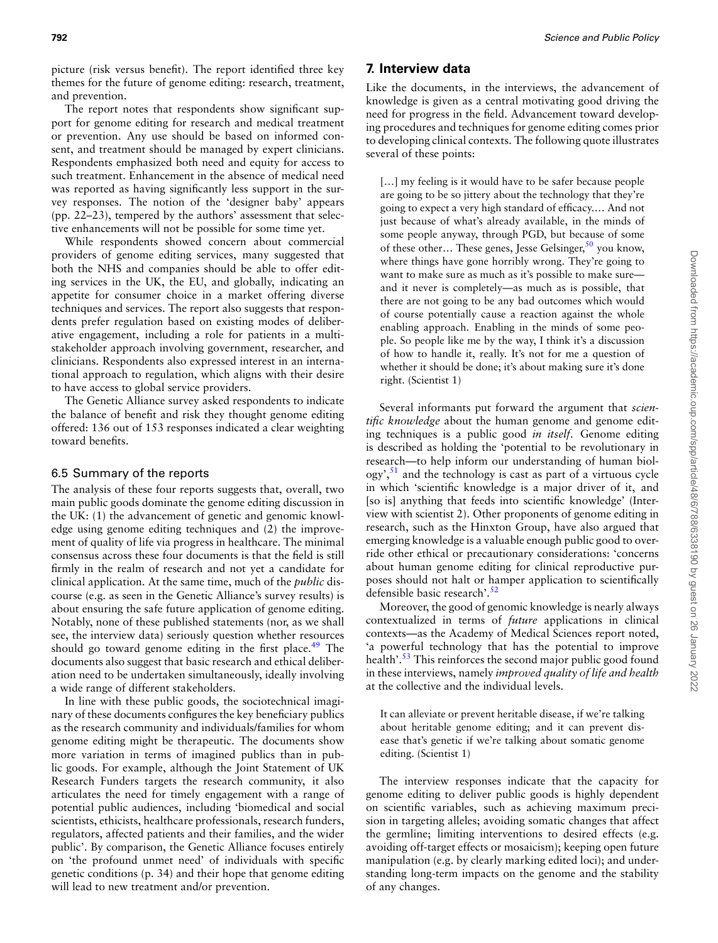picture (risk versus benefit). The report identified three key themes for the future of genome editing: research, treatment, and prevention.

The report notes that respondents show significant support for genome editing for research and medical treatment or prevention. Any use should be based on informed consent, and treatment should be managed by expert clinicians. Respondents emphasized both need and equity for access to such treatment. Enhancement in the absence of medical need was reported as having significantly less support in the survey responses. The notion of the 'designer baby' appears (pp. 22–23), tempered by the authors' assessment that selective enhancements will not be possible for some time yet.

While respondents showed concern about commercial providers of genome editing services, many suggested that both the NHS and companies should be able to offer editing services in the UK, the EU, and globally, indicating an appetite for consumer choice in a market offering diverse techniques and services. The report also suggests that respondents prefer regulation based on existing modes of deliberative engagement, including a role for patients in a multistakeholder approach involving government, researcher, and clinicians. Respondents also expressed interest in an international approach to regulation, which aligns with their desire to have access to global service providers.

The Genetic Alliance survey asked respondents to indicate the balance of benefit and risk they thought genome editing offered: 136 out of 153 responses indicated a clear weighting toward benefits.

#### 6.5 Summary of the reports

The analysis of these four reports suggests that, overall, two main public goods dominate the genome editing discussion in the UK: (1) the advancement of genetic and genomic knowledge using genome editing techniques and (2) the improvement of quality of life via progress in healthcare. The minimal consensus across these four documents is that the field is still firmly in the realm of research and not yet a candidate for clinical application. At the same time, much of the *public* discourse (e.g. as seen in the Genetic Alliance's survey results) is about ensuring the safe future application of genome editing. Notably, none of these published statements (nor, as we shall see, the interview data) seriously question whether resources should go toward genome editing in the first place. $49$  The documents also suggest that basic research and ethical deliberation need to be undertaken simultaneously, ideally involving a wide range of different stakeholders.

In line with these public goods, the sociotechnical imaginary of these documents configures the key beneficiary publics as the research community and individuals/families for whom genome editing might be therapeutic. The documents show more variation in terms of imagined publics than in public goods. For example, although the Joint Statement of UK Research Funders targets the research community, it also articulates the need for timely engagement with a range of potential public audiences, including 'biomedical and social scientists, ethicists, healthcare professionals, research funders, regulators, affected patients and their families, and the wider public'. By comparison, the Genetic Alliance focuses entirely on 'the profound unmet need' of individuals with specific genetic conditions (p. 34) and their hope that genome editing will lead to new treatment and/or prevention.

#### **7. Interview data**

Like the documents, in the interviews, the advancement of knowledge is given as a central motivating good driving the need for progress in the field. Advancement toward developing procedures and techniques for genome editing comes prior to developing clinical contexts. The following quote illustrates several of these points:

[...] my feeling is it would have to be safer because people are going to be so jittery about the technology that they're going to expect a very high standard of efficacy.… And not just because of what's already available, in the minds of some people anyway, through PGD, but because of some of these other... These genes, Jesse Gelsinger,  $50$  you know, where things have gone horribly wrong. They're going to want to make sure as much as it's possible to make sure and it never is completely—as much as is possible, that there are not going to be any bad outcomes which would of course potentially cause a reaction against the whole enabling approach. Enabling in the minds of some people. So people like me by the way, I think it's a discussion of how to handle it, really. It's not for me a question of whether it should be done; it's about making sure it's done right. (Scientist 1)

Several informants put forward the argument that *scientific knowledge* about the human genome and genome editing techniques is a public good *in itself*. Genome editing is described as holding the 'potential to be revolutionary in research—to help inform our understanding of human biol- $\log y$ <sup>51</sup>, and the technology is cast as part of a virtuous cycle in which 'scientific knowledge is a major driver of it, and [so is] anything that feeds into scientific knowledge' (Interview with scientist 2). Other proponents of genome editing in research, such as the Hinxton Group, have also argued that emerging knowledge is a valuable enough public good to override other ethical or precautionary considerations: 'concerns about human genome editing for clinical reproductive purposes should not halt or hamper application to scientifically defensible basic research'.<sup>52</sup>

Moreover, the good of genomic knowledge is nearly always contextualized in terms of *future* applications in clinical contexts—as the Academy of Medical Sciences report noted, 'a powerful technology that has the potential to improve health'.<sup>53</sup> This reinforces the second major public good found in these interviews, namely *improved quality of life and health* at the collective and the individual levels.

It can alleviate or prevent heritable disease, if we're talking about heritable genome editing; and it can prevent disease that's genetic if we're talking about somatic genome editing. (Scientist 1)

The interview responses indicate that the capacity for genome editing to deliver public goods is highly dependent on scientific variables, such as achieving maximum precision in targeting alleles; avoiding somatic changes that affect the germline; limiting interventions to desired effects (e.g. avoiding off-target effects or mosaicism); keeping open future manipulation (e.g. by clearly marking edited loci); and understanding long-term impacts on the genome and the stability of any changes.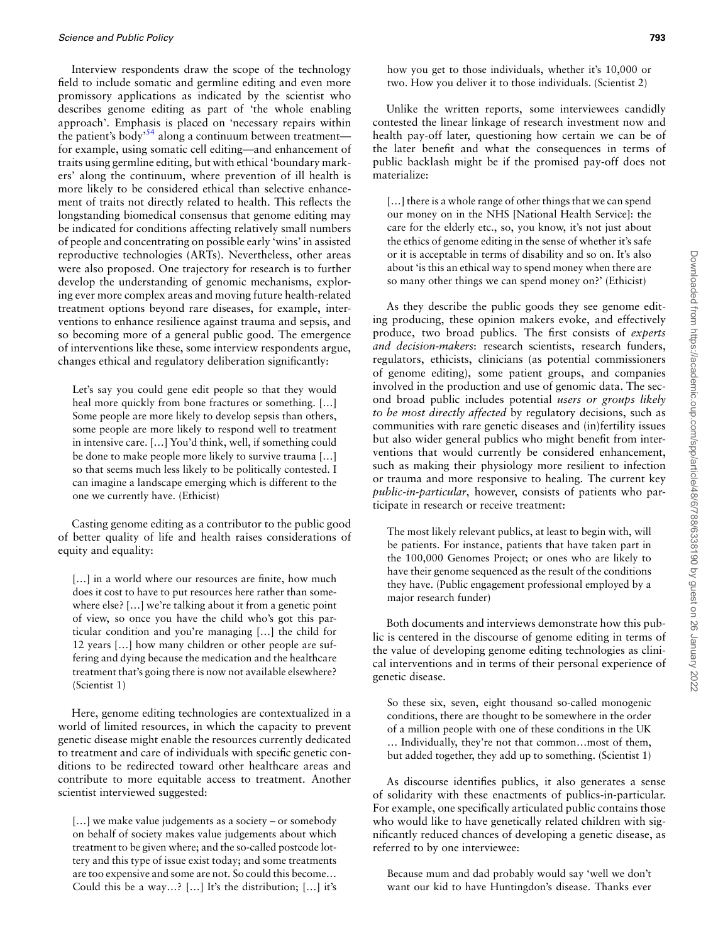Interview respondents draw the scope of the technology field to include somatic and germline editing and even more promissory applications as indicated by the scientist who describes genome editing as part of 'the whole enabling approach'. Emphasis is placed on 'necessary repairs within the patient's body'54 along a continuum between treatment for example, using somatic cell editing—and enhancement of traits using germline editing, but with ethical 'boundary markers' along the continuum, where prevention of ill health is more likely to be considered ethical than selective enhancement of traits not directly related to health. This reflects the longstanding biomedical consensus that genome editing may be indicated for conditions affecting relatively small numbers of people and concentrating on possible early 'wins' in assisted reproductive technologies (ARTs). Nevertheless, other areas were also proposed. One trajectory for research is to further develop the understanding of genomic mechanisms, exploring ever more complex areas and moving future health-related treatment options beyond rare diseases, for example, interventions to enhance resilience against trauma and sepsis, and so becoming more of a general public good. The emergence of interventions like these, some interview respondents argue, changes ethical and regulatory deliberation significantly:

Let's say you could gene edit people so that they would heal more quickly from bone fractures or something. [...] Some people are more likely to develop sepsis than others, some people are more likely to respond well to treatment in intensive care. […] You'd think, well, if something could be done to make people more likely to survive trauma […] so that seems much less likely to be politically contested. I can imagine a landscape emerging which is different to the one we currently have. (Ethicist)

Casting genome editing as a contributor to the public good of better quality of life and health raises considerations of equity and equality:

[...] in a world where our resources are finite, how much does it cost to have to put resources here rather than somewhere else? […] we're talking about it from a genetic point of view, so once you have the child who's got this particular condition and you're managing […] the child for 12 years […] how many children or other people are suffering and dying because the medication and the healthcare treatment that's going there is now not available elsewhere? (Scientist 1)

Here, genome editing technologies are contextualized in a world of limited resources, in which the capacity to prevent genetic disease might enable the resources currently dedicated to treatment and care of individuals with specific genetic conditions to be redirected toward other healthcare areas and contribute to more equitable access to treatment. Another scientist interviewed suggested:

[...] we make value judgements as a society – or somebody on behalf of society makes value judgements about which treatment to be given where; and the so-called postcode lottery and this type of issue exist today; and some treatments are too expensive and some are not. So could this become… Could this be a way…? […] It's the distribution; […] it's how you get to those individuals, whether it's 10,000 or two. How you deliver it to those individuals. (Scientist 2)

Unlike the written reports, some interviewees candidly contested the linear linkage of research investment now and health pay-off later, questioning how certain we can be of the later benefit and what the consequences in terms of public backlash might be if the promised pay-off does not materialize:

[...] there is a whole range of other things that we can spend our money on in the NHS [National Health Service]: the care for the elderly etc., so, you know, it's not just about the ethics of genome editing in the sense of whether it's safe or it is acceptable in terms of disability and so on. It's also about 'is this an ethical way to spend money when there are so many other things we can spend money on?' (Ethicist)

As they describe the public goods they see genome editing producing, these opinion makers evoke, and effectively produce, two broad publics. The first consists of *experts and decision-makers*: research scientists, research funders, regulators, ethicists, clinicians (as potential commissioners of genome editing), some patient groups, and companies involved in the production and use of genomic data. The second broad public includes potential *users or groups likely to be most directly affected* by regulatory decisions, such as communities with rare genetic diseases and (in)fertility issues but also wider general publics who might benefit from interventions that would currently be considered enhancement, such as making their physiology more resilient to infection or trauma and more responsive to healing. The current key *public-in-particular*, however, consists of patients who participate in research or receive treatment:

The most likely relevant publics, at least to begin with, will be patients. For instance, patients that have taken part in the 100,000 Genomes Project; or ones who are likely to have their genome sequenced as the result of the conditions they have. (Public engagement professional employed by a major research funder)

Both documents and interviews demonstrate how this public is centered in the discourse of genome editing in terms of the value of developing genome editing technologies as clinical interventions and in terms of their personal experience of genetic disease.

So these six, seven, eight thousand so-called monogenic conditions, there are thought to be somewhere in the order of a million people with one of these conditions in the UK … Individually, they're not that common…most of them, but added together, they add up to something. (Scientist 1)

As discourse identifies publics, it also generates a sense of solidarity with these enactments of publics-in-particular. For example, one specifically articulated public contains those who would like to have genetically related children with significantly reduced chances of developing a genetic disease, as referred to by one interviewee:

Because mum and dad probably would say 'well we don't want our kid to have Huntingdon's disease. Thanks ever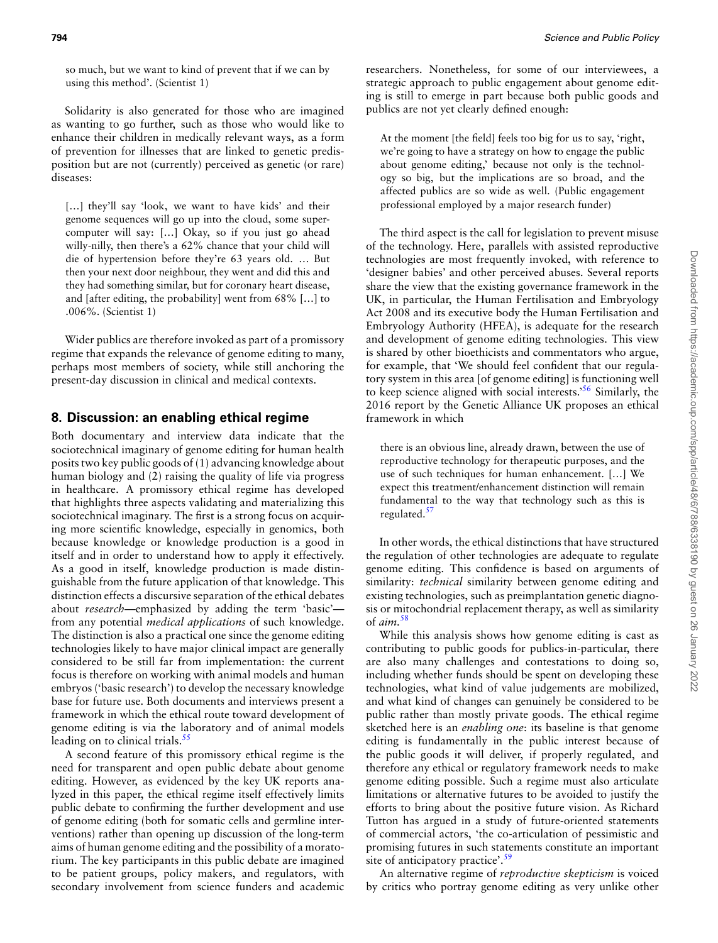so much, but we want to kind of prevent that if we can by using this method'. (Scientist 1)

Solidarity is also generated for those who are imagined as wanting to go further, such as those who would like to enhance their children in medically relevant ways, as a form of prevention for illnesses that are linked to genetic predisposition but are not (currently) perceived as genetic (or rare) diseases:

[...] they'll say 'look, we want to have kids' and their genome sequences will go up into the cloud, some supercomputer will say: […] Okay, so if you just go ahead willy-nilly, then there's a 62% chance that your child will die of hypertension before they're 63 years old. … But then your next door neighbour, they went and did this and they had something similar, but for coronary heart disease, and [after editing, the probability] went from 68% […] to .006%. (Scientist 1)

Wider publics are therefore invoked as part of a promissory regime that expands the relevance of genome editing to many, perhaps most members of society, while still anchoring the present-day discussion in clinical and medical contexts.

#### **8. Discussion: an enabling ethical regime**

Both documentary and interview data indicate that the sociotechnical imaginary of genome editing for human health posits two key public goods of (1) advancing knowledge about human biology and (2) raising the quality of life via progress in healthcare. A promissory ethical regime has developed that highlights three aspects validating and materializing this sociotechnical imaginary. The first is a strong focus on acquiring more scientific knowledge, especially in genomics, both because knowledge or knowledge production is a good in itself and in order to understand how to apply it effectively. As a good in itself, knowledge production is made distinguishable from the future application of that knowledge. This distinction effects a discursive separation of the ethical debates about *research—*emphasized by adding the term 'basic' from any potential *medical applications* of such knowledge. The distinction is also a practical one since the genome editing technologies likely to have major clinical impact are generally considered to be still far from implementation: the current focus is therefore on working with animal models and human embryos ('basic research') to develop the necessary knowledge base for future use. Both documents and interviews present a framework in which the ethical route toward development of genome editing is via the laboratory and of animal models leading on to clinical trials.<sup>55</sup>

A second feature of this promissory ethical regime is the need for transparent and open public debate about genome editing. However, as evidenced by the key UK reports analyzed in this paper, the ethical regime itself effectively limits public debate to confirming the further development and use of genome editing (both for somatic cells and germline interventions) rather than opening up discussion of the long-term aims of human genome editing and the possibility of a moratorium. The key participants in this public debate are imagined to be patient groups, policy makers, and regulators, with secondary involvement from science funders and academic

researchers. Nonetheless, for some of our interviewees, a strategic approach to public engagement about genome editing is still to emerge in part because both public goods and publics are not yet clearly defined enough:

At the moment [the field] feels too big for us to say, 'right, we're going to have a strategy on how to engage the public about genome editing,' because not only is the technology so big, but the implications are so broad, and the affected publics are so wide as well. (Public engagement professional employed by a major research funder)

The third aspect is the call for legislation to prevent misuse of the technology. Here, parallels with assisted reproductive technologies are most frequently invoked, with reference to 'designer babies' and other perceived abuses. Several reports share the view that the existing governance framework in the UK, in particular, the Human Fertilisation and Embryology Act 2008 and its executive body the Human Fertilisation and Embryology Authority (HFEA), is adequate for the research and development of genome editing technologies. This view is shared by other bioethicists and commentators who argue, for example, that 'We should feel confident that our regulatory system in this area [of genome editing] is functioning well to keep science aligned with social interests.'56 Similarly, the 2016 report by the Genetic Alliance UK proposes an ethical framework in which

there is an obvious line, already drawn, between the use of reproductive technology for therapeutic purposes, and the use of such techniques for human enhancement. […] We expect this treatment/enhancement distinction will remain fundamental to the way that technology such as this is regulated. $57$ 

In other words, the ethical distinctions that have structured the regulation of other technologies are adequate to regulate genome editing. This confidence is based on arguments of similarity: *technical* similarity between genome editing and existing technologies, such as preimplantation genetic diagnosis or mitochondrial replacement therapy, as well as similarity of *aim.*58

While this analysis shows how genome editing is cast as contributing to public goods for publics-in-particular, there are also many challenges and contestations to doing so, including whether funds should be spent on developing these technologies, what kind of value judgements are mobilized, and what kind of changes can genuinely be considered to be public rather than mostly private goods. The ethical regime sketched here is an *enabling one*: its baseline is that genome editing is fundamentally in the public interest because of the public goods it will deliver, if properly regulated, and therefore any ethical or regulatory framework needs to make genome editing possible. Such a regime must also articulate limitations or alternative futures to be avoided to justify the efforts to bring about the positive future vision. As Richard Tutton has argued in a study of future-oriented statements of commercial actors, 'the co-articulation of pessimistic and promising futures in such statements constitute an important site of anticipatory practice'.<sup>59</sup>

An alternative regime of *reproductive skepticism* is voiced by critics who portray genome editing as very unlike other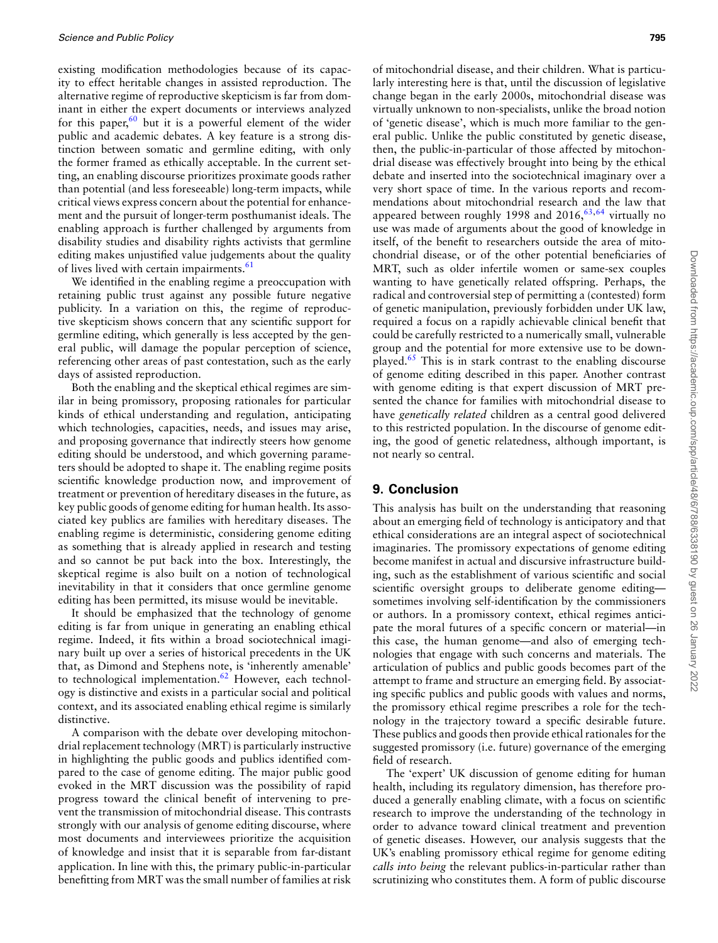existing modification methodologies because of its capacity to effect heritable changes in assisted reproduction. The alternative regime of reproductive skepticism is far from dominant in either the expert documents or interviews analyzed for this paper,  $60$  but it is a powerful element of the wider public and academic debates. A key feature is a strong distinction between somatic and germline editing, with only the former framed as ethically acceptable. In the current setting, an enabling discourse prioritizes proximate goods rather than potential (and less foreseeable) long-term impacts, while critical views express concern about the potential for enhancement and the pursuit of longer-term posthumanist ideals. The enabling approach is further challenged by arguments from disability studies and disability rights activists that germline editing makes unjustified value judgements about the quality of lives lived with certain impairments.<sup>61</sup>

We identified in the enabling regime a preoccupation with retaining public trust against any possible future negative publicity. In a variation on this, the regime of reproductive skepticism shows concern that any scientific support for germline editing, which generally is less accepted by the general public, will damage the popular perception of science, referencing other areas of past contestation, such as the early days of assisted reproduction.

Both the enabling and the skeptical ethical regimes are similar in being promissory, proposing rationales for particular kinds of ethical understanding and regulation, anticipating which technologies, capacities, needs, and issues may arise, and proposing governance that indirectly steers how genome editing should be understood, and which governing parameters should be adopted to shape it. The enabling regime posits scientific knowledge production now, and improvement of treatment or prevention of hereditary diseases in the future, as key public goods of genome editing for human health. Its associated key publics are families with hereditary diseases. The enabling regime is deterministic, considering genome editing as something that is already applied in research and testing and so cannot be put back into the box. Interestingly, the skeptical regime is also built on a notion of technological inevitability in that it considers that once germline genome editing has been permitted, its misuse would be inevitable.

It should be emphasized that the technology of genome editing is far from unique in generating an enabling ethical regime. Indeed, it fits within a broad sociotechnical imaginary built up over a series of historical precedents in the UK that, as Dimond and Stephens note, is 'inherently amenable' to technological implementation. $62$  However, each technology is distinctive and exists in a particular social and political context, and its associated enabling ethical regime is similarly distinctive.

A comparison with the debate over developing mitochondrial replacement technology (MRT) is particularly instructive in highlighting the public goods and publics identified compared to the case of genome editing. The major public good evoked in the MRT discussion was the possibility of rapid progress toward the clinical benefit of intervening to prevent the transmission of mitochondrial disease. This contrasts strongly with our analysis of genome editing discourse, where most documents and interviewees prioritize the acquisition of knowledge and insist that it is separable from far-distant application. In line with this, the primary public-in-particular benefitting from MRT was the small number of families at risk

of mitochondrial disease, and their children. What is particularly interesting here is that, until the discussion of legislative change began in the early 2000s, mitochondrial disease was virtually unknown to non-specialists, unlike the broad notion of 'genetic disease', which is much more familiar to the general public. Unlike the public constituted by genetic disease, then, the public-in-particular of those affected by mitochondrial disease was effectively brought into being by the ethical debate and inserted into the sociotechnical imaginary over a very short space of time. In the various reports and recommendations about mitochondrial research and the law that appeared between roughly 1998 and  $2016, ^{63,64}$  virtually no use was made of arguments about the good of knowledge in itself, of the benefit to researchers outside the area of mitochondrial disease, or of the other potential beneficiaries of MRT, such as older infertile women or same-sex couples wanting to have genetically related offspring. Perhaps, the radical and controversial step of permitting a (contested) form of genetic manipulation, previously forbidden under UK law, required a focus on a rapidly achievable clinical benefit that could be carefully restricted to a numerically small, vulnerable group and the potential for more extensive use to be downplayed.65 This is in stark contrast to the enabling discourse of genome editing described in this paper. Another contrast with genome editing is that expert discussion of MRT presented the chance for families with mitochondrial disease to have *genetically related* children as a central good delivered to this restricted population. In the discourse of genome editing, the good of genetic relatedness, although important, is not nearly so central.

# **9. Conclusion**

This analysis has built on the understanding that reasoning about an emerging field of technology is anticipatory and that ethical considerations are an integral aspect of sociotechnical imaginaries. The promissory expectations of genome editing become manifest in actual and discursive infrastructure building, such as the establishment of various scientific and social scientific oversight groups to deliberate genome editing sometimes involving self-identification by the commissioners or authors. In a promissory context, ethical regimes anticipate the moral futures of a specific concern or material—in this case, the human genome—and also of emerging technologies that engage with such concerns and materials. The articulation of publics and public goods becomes part of the attempt to frame and structure an emerging field. By associating specific publics and public goods with values and norms, the promissory ethical regime prescribes a role for the technology in the trajectory toward a specific desirable future. These publics and goods then provide ethical rationales for the suggested promissory (i.e. future) governance of the emerging field of research.

The 'expert' UK discussion of genome editing for human health, including its regulatory dimension, has therefore produced a generally enabling climate, with a focus on scientific research to improve the understanding of the technology in order to advance toward clinical treatment and prevention of genetic diseases. However, our analysis suggests that the UK's enabling promissory ethical regime for genome editing *calls into being* the relevant publics-in-particular rather than scrutinizing who constitutes them. A form of public discourse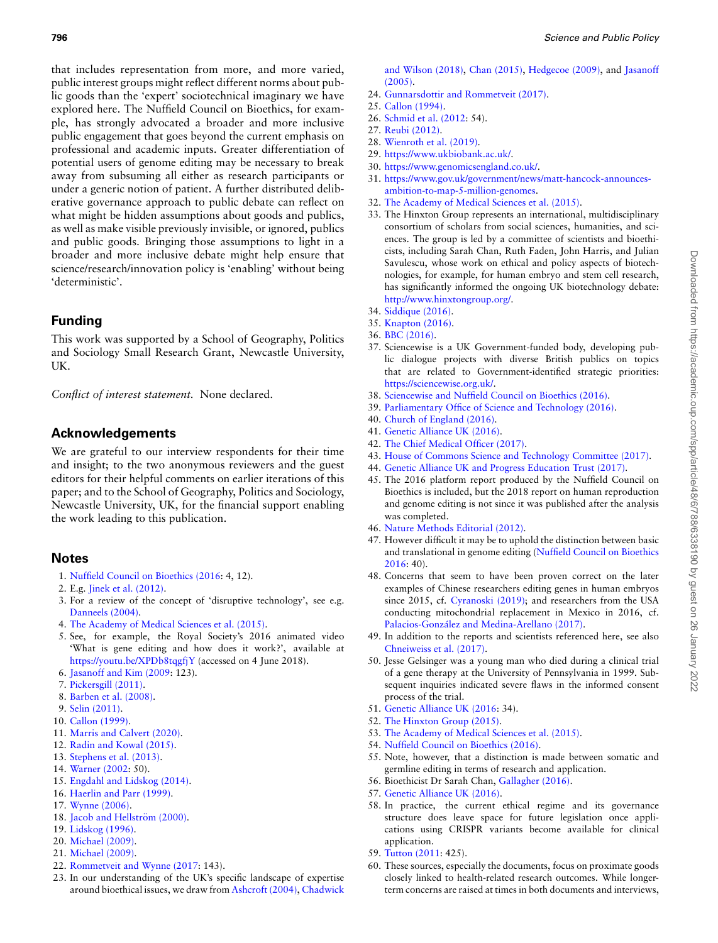that includes representation from more, and more varied, public interest groups might reflect different norms about public goods than the 'expert' sociotechnical imaginary we have explored here. The Nuffield Council on Bioethics, for example, has strongly advocated a broader and more inclusive public engagement that goes beyond the current emphasis on professional and academic inputs. Greater differentiation of potential users of genome editing may be necessary to break away from subsuming all either as research participants or under a generic notion of patient. A further distributed deliberative governance approach to public debate can reflect on what might be hidden assumptions about goods and publics, as well as make visible previously invisible, or ignored, publics and public goods. Bringing those assumptions to light in a broader and more inclusive debate might help ensure that science/research/innovation policy is 'enabling' without being 'deterministic'.

# **Funding**

This work was supported by a School of Geography, Politics and Sociology Small Research Grant, Newcastle University, UK.

*Conflict of interest statement.* None declared.

### **Acknowledgements**

We are grateful to our interview respondents for their time and insight; to the two anonymous reviewers and the guest editors for their helpful comments on earlier iterations of this paper; and to the School of Geography, Politics and Sociology, Newcastle University, UK, for the financial support enabling the work leading to this publication.

#### **Notes**

- 1. [Nuffield Council on Bioethics \(2016:](#page-9-1) 4, 12).
- 2. E.g. [Jinek et al. \(2012\).](#page-9-2)
- 3. For a review of the concept of 'disruptive technology', see e.g. [Danneels \(2004\).](#page-9-3)
- 4. [The Academy of Medical Sciences et al. \(2015\).](#page-9-4)
- 5. See, for example, the Royal Society's 2016 animated video 'What is gene editing and how does it work?', available at <https://youtu.be/XPDb8tqgfjY> (accessed on 4 June 2018).
- 6. [Jasanoff and Kim \(2009](#page-9-5): 123).
- 7. [Pickersgill \(2011\)](#page-10-0).
- 8. [Barben et al. \(2008\).](#page-9-6)
- 9. [Selin \(2011\).](#page-10-1)
- 10. [Callon \(1999\)](#page-9-7).
- 11. [Marris and Calvert \(2020\).](#page-9-8)
- 12. [Radin and Kowal \(2015\)](#page-10-2).
- 13. [Stephens et al. \(2013\).](#page-10-3)
- 14. [Warner \(2002](#page-10-4): 50).
- 15. [Engdahl and Lidskog \(2014\).](#page-9-9)
- 16. [Haerlin and Parr \(1999\).](#page-9-10) 17. [Wynne \(2006\)](#page-10-5).
- 18. Jacob and Hellström (2000).
- 19. [Lidskog \(1996\).](#page-9-12)
- 20. [Michael \(2009\)](#page-9-13).
- 21. [Michael \(2009\)](#page-9-13).
- 22. [Rommetveit and Wynne \(2017](#page-10-6): 143).
- 23. In our understanding of the UK's specific landscape of expertise around bioethical issues, we draw from [Ashcroft \(2004\),](#page-9-14) [Chadwick](#page-9-15)

[and Wilson \(2018\)](#page-9-15), [Chan \(2015\),](#page-9-16) [Hedgecoe \(2009\),](#page-9-17) and [Jasanoff](#page-9-18) [\(2005\)](#page-9-18).

- 24. [Gunnarsdottir and Rommetveit \(2017\)](#page-9-19).
- 25. [Callon \(1994\)](#page-9-20).
- 26. [Schmid et al. \(2012](#page-10-7): 54).
- 27. [Reubi \(2012\).](#page-10-8)
- 28. [Wienroth et al. \(2019\)](#page-10-9).
- 29. [https://www.ukbiobank.ac.uk/.](https://www.ukbiobank.ac.uk/)
- 30. [https://www.genomicsengland.co.uk/.](https://www.genomicsengland.co.uk/)
- 31. [https://www.gov.uk/government/news/matt-hancock-announces](https://www.gov.uk/government/news/matt-hancock-announces-ambition-to-map-5-million-genomes)[ambition-to-map-5-million-genomes](https://www.gov.uk/government/news/matt-hancock-announces-ambition-to-map-5-million-genomes).
- 32. [The Academy of Medical Sciences et al. \(2015\).](#page-9-4)
- 33. The Hinxton Group represents an international, multidisciplinary consortium of scholars from social sciences, humanities, and sciences. The group is led by a committee of scientists and bioethicists, including Sarah Chan, Ruth Faden, John Harris, and Julian Savulescu, whose work on ethical and policy aspects of biotechnologies, for example, for human embryo and stem cell research, has significantly informed the ongoing UK biotechnology debate: [http://www.hinxtongroup.org/.](http://www.hinxtongroup.org/)
- 34. [Siddique \(2016\)](#page-10-10).
- 35. [Knapton \(2016\).](#page-9-21)
- 36. [BBC \(2016\).](#page-9-22)
- 37. Sciencewise is a UK Government-funded body, developing public dialogue projects with diverse British publics on topics that are related to Government-identified strategic priorities: <https://sciencewise.org.uk/>.
- 38. [Sciencewise and Nuffield Council on Bioethics \(2016\).](#page-10-11)
- 39. [Parliamentary Office of Science and Technology \(2016\)](#page-9-23).
- 40. [Church of England \(2016\)](#page-9-24).
- 41. [Genetic Alliance UK \(2016\).](#page-9-0)
- 42. [The Chief Medical Officer \(2017\)](#page-9-25).
- 43. [House of Commons Science and Technology Committee \(2017\)](#page-9-26).
- 44. [Genetic Alliance UK and Progress Education Trust \(2017\).](#page-9-27)
- 45. The 2016 platform report produced by the Nuffield Council on Bioethics is included, but the 2018 report on human reproduction and genome editing is not since it was published after the analysis was completed.
- 46. [Nature Methods Editorial \(2012\)](#page-9-28).
- 47. However difficult it may be to uphold the distinction between basic and translational in genome editing [\(Nuffield Council on Bioethics](#page-9-1) [2016:](#page-9-1) 40).
- 48. Concerns that seem to have been proven correct on the later examples of Chinese researchers editing genes in human embryos since 2015, cf. [Cyranoski \(2019\)](#page-9-29); and researchers from the USA conducting mitochondrial replacement in Mexico in 2016, cf. Palacios-González and Medina-Arellano (2017).
- 49. In addition to the reports and scientists referenced here, see also [Chneiweiss et al. \(2017\)](#page-9-31).
- 50. Jesse Gelsinger was a young man who died during a clinical trial of a gene therapy at the University of Pennsylvania in 1999. Subsequent inquiries indicated severe flaws in the informed consent process of the trial.
- 51. [Genetic Alliance UK \(2016:](#page-9-0) 34).
- 52. [The Hinxton Group \(2015\)](#page-9-32).
- 53. [The Academy of Medical Sciences et al. \(2015\).](#page-9-4)
- 54. [Nuffield Council on Bioethics \(2016\).](#page-9-1)
- 55. Note, however, that a distinction is made between somatic and germline editing in terms of research and application.
- 56. Bioethicist Dr Sarah Chan, [Gallagher \(2016\).](#page-9-22)
- 57. [Genetic Alliance UK \(2016\).](#page-9-0)
- 58. In practice, the current ethical regime and its governance structure does leave space for future legislation once applications using CRISPR variants become available for clinical application.
- 59. [Tutton \(2011](#page-10-12): 425).
- 60. These sources, especially the documents, focus on proximate goods closely linked to health-related research outcomes. While longerterm concerns are raised at times in both documents and interviews,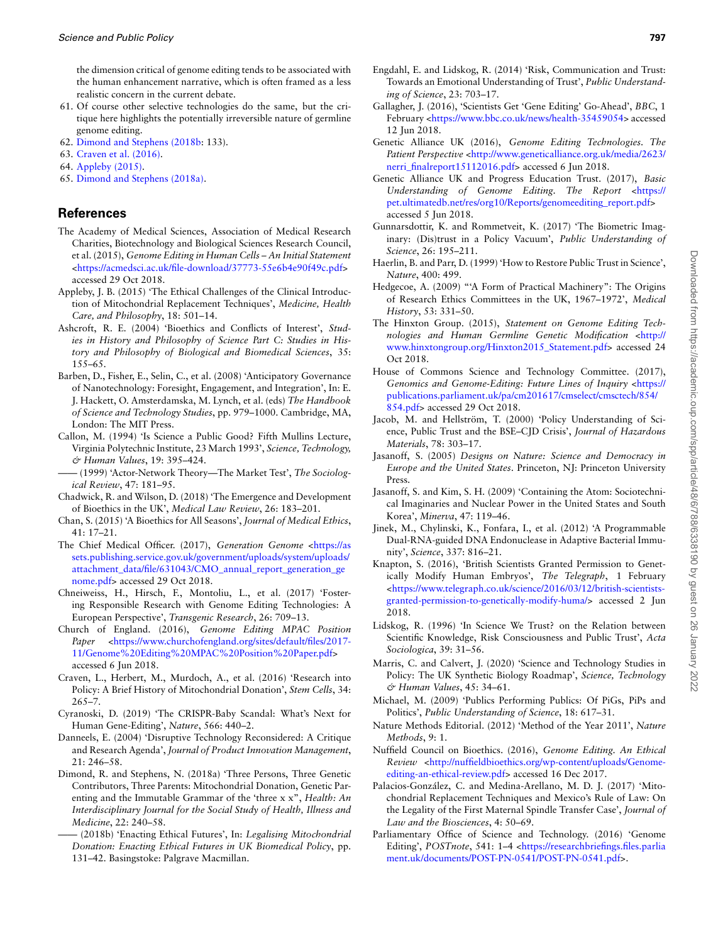the dimension critical of genome editing tends to be associated with the human enhancement narrative, which is often framed as a less realistic concern in the current debate.

- 61. Of course other selective technologies do the same, but the critique here highlights the potentially irreversible nature of germline genome editing.
- 62. [Dimond and Stephens \(2018b:](#page-9-33) 133).
- 63. [Craven et al. \(2016\).](#page-9-34)
- 64. [Appleby \(2015\).](#page-9-35)
- 65. [Dimond and Stephens \(2018a\).](#page-9-36)

#### **References**

- <span id="page-9-4"></span>The Academy of Medical Sciences, Association of Medical Research Charities, Biotechnology and Biological Sciences Research Council, et al. (2015), *Genome Editing in Human Cells – An Initial Statement* [<https://acmedsci.ac.uk/file-download/37773-55e6b4e90f49c.pdf](https://acmedsci.ac.uk/file-download/37773-55e6b4e90f49c.pdf)> accessed 29 Oct 2018.
- <span id="page-9-35"></span>Appleby, J. B. (2015) 'The Ethical Challenges of the Clinical Introduction of Mitochondrial Replacement Techniques', *Medicine, Health Care, and Philosophy*, 18: 501–14.
- <span id="page-9-14"></span>Ashcroft, R. E. (2004) 'Bioethics and Conflicts of Interest', *Studies in History and Philosophy of Science Part C: Studies in History and Philosophy of Biological and Biomedical Sciences*, 35: 155–65.
- <span id="page-9-6"></span>Barben, D., Fisher, E., Selin, C., et al. (2008) 'Anticipatory Governance of Nanotechnology: Foresight, Engagement, and Integration', In: E. J. Hackett, O. Amsterdamska, M. Lynch, et al. (eds) *The Handbook of Science and Technology Studies*, pp. 979–1000. Cambridge, MA, London: The MIT Press.
- <span id="page-9-20"></span>Callon, M. (1994) 'Is Science a Public Good? Fifth Mullins Lecture, Virginia Polytechnic Institute, 23 March 1993', *Science, Technology, & Human Values*, 19: 395–424.
- <span id="page-9-7"></span>—— (1999) 'Actor-Network Theory—The Market Test', *The Sociological Review*, 47: 181–95.
- <span id="page-9-15"></span>Chadwick, R. and Wilson, D. (2018) 'The Emergence and Development of Bioethics in the UK', *Medical Law Review*, 26: 183–201.
- <span id="page-9-16"></span>Chan, S. (2015) 'A Bioethics for All Seasons', *Journal of Medical Ethics*, 41: 17–21.
- <span id="page-9-25"></span>The Chief Medical Officer. (2017), *Generation Genome* [<https://as](https://assets.publishing.service.gov.uk/government/uploads/system/uploads/attachment_data/file/631043/CMO_annual_report_generation_genome.pdf) [sets.publishing.service.gov.uk/government/uploads/system/uploads/](https://assets.publishing.service.gov.uk/government/uploads/system/uploads/attachment_data/file/631043/CMO_annual_report_generation_genome.pdf) [attachment\\_data/file/631043/CMO\\_annual\\_report\\_generation\\_ge](https://assets.publishing.service.gov.uk/government/uploads/system/uploads/attachment_data/file/631043/CMO_annual_report_generation_genome.pdf) [nome.pdf>](https://assets.publishing.service.gov.uk/government/uploads/system/uploads/attachment_data/file/631043/CMO_annual_report_generation_genome.pdf) accessed 29 Oct 2018.
- <span id="page-9-31"></span>Chneiweiss, H., Hirsch, F., Montoliu, L., et al. (2017) 'Fostering Responsible Research with Genome Editing Technologies: A European Perspective', *Transgenic Research*, 26: 709–13.
- <span id="page-9-24"></span>Church of England. (2016), *Genome Editing MPAC Position Paper* [<https://www.churchofengland.org/sites/default/files/2017-](https://www.churchofengland.org/sites/default/files/2017-11/Genome%20Editing%20MPAC%20Position%20Paper.pdf) [11/Genome%20Editing%20MPAC%20Position%20Paper.pdf>](https://www.churchofengland.org/sites/default/files/2017-11/Genome%20Editing%20MPAC%20Position%20Paper.pdf) accessed 6 Jun 2018.
- <span id="page-9-34"></span>Craven, L., Herbert, M., Murdoch, A., et al. (2016) 'Research into Policy: A Brief History of Mitochondrial Donation', *Stem Cells*, 34: 265–7.
- <span id="page-9-29"></span>Cyranoski, D. (2019) 'The CRISPR-Baby Scandal: What's Next for Human Gene-Editing', *Nature*, 566: 440–2.
- <span id="page-9-3"></span>Danneels, E. (2004) 'Disruptive Technology Reconsidered: A Critique and Research Agenda', *Journal of Product Innovation Management*, 21: 246–58.
- <span id="page-9-36"></span>Dimond, R. and Stephens, N. (2018a) 'Three Persons, Three Genetic Contributors, Three Parents: Mitochondrial Donation, Genetic Parenting and the Immutable Grammar of the 'three x x", *Health: An Interdisciplinary Journal for the Social Study of Health, Illness and Medicine*, 22: 240–58.
- <span id="page-9-33"></span>—— (2018b) 'Enacting Ethical Futures', In: *Legalising Mitochondrial Donation: Enacting Ethical Futures in UK Biomedical Policy*, pp. 131–42. Basingstoke: Palgrave Macmillan.
- <span id="page-9-9"></span>Engdahl, E. and Lidskog, R. (2014) 'Risk, Communication and Trust: Towards an Emotional Understanding of Trust', *Public Understanding of Science*, 23: 703–17.
- <span id="page-9-22"></span>Gallagher, J. (2016), 'Scientists Get 'Gene Editing' Go-Ahead', *BBC*, 1 February <<https://www.bbc.co.uk/news/health-35459054>> accessed 12 Jun 2018.
- <span id="page-9-0"></span>Genetic Alliance UK (2016), *Genome Editing Technologies. The* Patient Perspective <[http://www.geneticalliance.org.uk/media/2623/](http://www.geneticalliance.org.uk/media/2623/nerri_finalreport15112016.pdf) [nerri\\_finalreport15112016.pdf](http://www.geneticalliance.org.uk/media/2623/nerri_finalreport15112016.pdf)> accessed 6 Jun 2018.
- <span id="page-9-27"></span>Genetic Alliance UK and Progress Education Trust. (2017), *Basic Understanding of Genome Editing. The Report* [<https://](https://pet.ultimatedb.net/res/org10/Reports/genomeediting_report.pdf) [pet.ultimatedb.net/res/org10/Reports/genomeediting\\_report.pdf](https://pet.ultimatedb.net/res/org10/Reports/genomeediting_report.pdf)> accessed 5 Jun 2018.
- <span id="page-9-19"></span>Gunnarsdottir, K. and Rommetveit, K. (2017) 'The Biometric Imaginary: (Dis)trust in a Policy Vacuum', *Public Understanding of Science*, 26: 195–211.
- <span id="page-9-10"></span>Haerlin, B. and Parr, D. (1999) 'How to Restore Public Trust in Science', *Nature*, 400: 499.
- <span id="page-9-17"></span>Hedgecoe, A. (2009) "'A Form of Practical Machinery": The Origins of Research Ethics Committees in the UK, 1967–1972', *Medical History*, 53: 331–50.
- <span id="page-9-32"></span>The Hinxton Group. (2015), *Statement on Genome Editing Technologies and Human Germline Genetic Modification* [<http://](http://www.hinxtongroup.org/Hinxton2015_Statement.pdf) [www.hinxtongroup.org/Hinxton2015\\_Statement.pdf>](http://www.hinxtongroup.org/Hinxton2015_Statement.pdf) accessed 24 Oct 2018.
- <span id="page-9-26"></span>House of Commons Science and Technology Committee. (2017), *Genomics and Genome-Editing: Future Lines of Inquiry [<https://](https://publications.parliament.uk/pa/cm201617/cmselect/cmsctech/854/854.pdf)* [publications.parliament.uk/pa/cm201617/cmselect/cmsctech/854/](https://publications.parliament.uk/pa/cm201617/cmselect/cmsctech/854/854.pdf) [854.pdf>](https://publications.parliament.uk/pa/cm201617/cmselect/cmsctech/854/854.pdf) accessed 29 Oct 2018.
- <span id="page-9-11"></span>Jacob, M. and Hellström, T. (2000) 'Policy Understanding of Science, Public Trust and the BSE–CJD Crisis', *Journal of Hazardous Materials*, 78: 303–17.
- <span id="page-9-18"></span>Jasanoff, S. (2005) *Designs on Nature: Science and Democracy in Europe and the United States*. Princeton, NJ: Princeton University Press.
- <span id="page-9-5"></span>Jasanoff, S. and Kim, S. H. (2009) 'Containing the Atom: Sociotechnical Imaginaries and Nuclear Power in the United States and South Korea', *Minerva*, 47: 119–46.
- <span id="page-9-2"></span>Jinek, M., Chylinski, K., Fonfara, I., et al. (2012) 'A Programmable Dual-RNA-guided DNA Endonuclease in Adaptive Bacterial Immunity', *Science*, 337: 816–21.
- <span id="page-9-21"></span>Knapton, S. (2016), 'British Scientists Granted Permission to Genetically Modify Human Embryos', *The Telegraph*, 1 February [<https://www.telegraph.co.uk/science/2016/03/12/british-scientists](https://www.telegraph.co.uk/science/2016/03/12/british-scientists-granted-permission-to-genetically-modify-huma/)[granted-permission-to-genetically-modify-huma/](https://www.telegraph.co.uk/science/2016/03/12/british-scientists-granted-permission-to-genetically-modify-huma/)> accessed 2 Jun 2018.
- <span id="page-9-12"></span>Lidskog, R. (1996) 'In Science We Trust? on the Relation between Scientific Knowledge, Risk Consciousness and Public Trust', *Acta Sociologica*, 39: 31–56.
- <span id="page-9-8"></span>Marris, C. and Calvert, J. (2020) 'Science and Technology Studies in Policy: The UK Synthetic Biology Roadmap', *Science, Technology & Human Values*, 45: 34–61.
- <span id="page-9-13"></span>Michael, M. (2009) 'Publics Performing Publics: Of PiGs, PiPs and Politics', *Public Understanding of Science*, 18: 617–31.
- <span id="page-9-28"></span>Nature Methods Editorial. (2012) 'Method of the Year 2011', *Nature Methods*, 9: 1.
- <span id="page-9-1"></span>Nuffield Council on Bioethics. (2016), *Genome Editing. An Ethical Review* [<http://nuffieldbioethics.org/wp-content/uploads/Genome](http://nuffieldbioethics.org/wp-content/uploads/Genome-editing-an-ethical-review.pdf)[editing-an-ethical-review.pdf](http://nuffieldbioethics.org/wp-content/uploads/Genome-editing-an-ethical-review.pdf)> accessed 16 Dec 2017.
- <span id="page-9-30"></span>Palacios-González, C. and Medina-Arellano, M. D. J. (2017) 'Mitochondrial Replacement Techniques and Mexico's Rule of Law: On the Legality of the First Maternal Spindle Transfer Case', *Journal of Law and the Biosciences*, 4: 50–69.
- <span id="page-9-23"></span>Parliamentary Office of Science and Technology. (2016) 'Genome Editing', *POSTnote*, 541: 1–4 <[https://researchbriefings.files.parlia](https://researchbriefings.files.parliament.uk/documents/POST-PN-0541/POST-PN-0541.pdf) [ment.uk/documents/POST-PN-0541/POST-PN-0541.pdf>](https://researchbriefings.files.parliament.uk/documents/POST-PN-0541/POST-PN-0541.pdf).